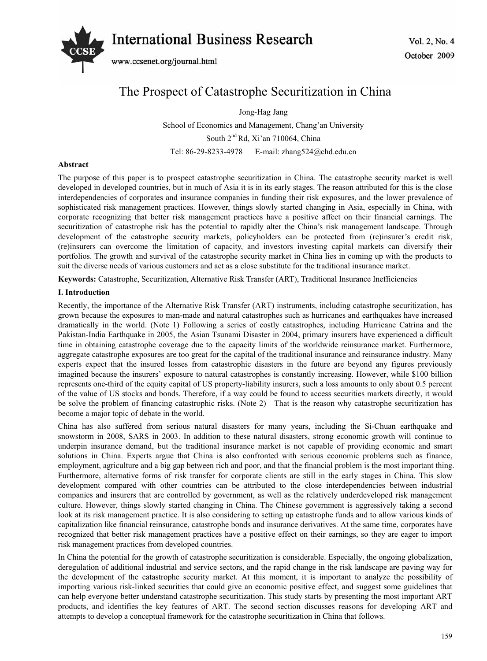# *International Business Research*  $\frac{1}{2}$  No. 4



www.ccsenet.org/journal.html

# The Prospect of Catastrophe Securitization in China

Jong-Hag Jang

School of Economics and Management, Chang'an University South 2<sup>nd</sup> Rd, Xi'an 710064, China Tel: 86-29-8233-4978 E-mail: zhang524@chd.edu.cn

# **Abstract**

The purpose of this paper is to prospect catastrophe securitization in China. The catastrophe security market is well developed in developed countries, but in much of Asia it is in its early stages. The reason attributed for this is the close interdependencies of corporates and insurance companies in funding their risk exposures, and the lower prevalence of sophisticated risk management practices. However, things slowly started changing in Asia, especially in China, with corporate recognizing that better risk management practices have a positive affect on their financial earnings. The securitization of catastrophe risk has the potential to rapidly alter the China's risk management landscape. Through development of the catastrophe security markets, policyholders can be protected from (re)insurer's credit risk, (re)insurers can overcome the limitation of capacity, and investors investing capital markets can diversify their portfolios. The growth and survival of the catastrophe security market in China lies in coming up with the products to suit the diverse needs of various customers and act as a close substitute for the traditional insurance market.

**Keywords:** Catastrophe, Securitization, Alternative Risk Transfer (ART), Traditional Insurance Inefficiencies

# **I. Introduction**

Recently, the importance of the Alternative Risk Transfer (ART) instruments, including catastrophe securitization, has grown because the exposures to man-made and natural catastrophes such as hurricanes and earthquakes have increased dramatically in the world. (Note 1) Following a series of costly catastrophes, including Hurricane Catrina and the Pakistan-India Earthquake in 2005, the Asian Tsunami Disaster in 2004, primary insurers have experienced a difficult time in obtaining catastrophe coverage due to the capacity limits of the worldwide reinsurance market. Furthermore, aggregate catastrophe exposures are too great for the capital of the traditional insurance and reinsurance industry. Many experts expect that the insured losses from catastrophic disasters in the future are beyond any figures previously imagined because the insurers' exposure to natural catastrophes is constantly increasing. However, while \$100 billion represents one-third of the equity capital of US property-liability insurers, such a loss amounts to only about 0.5 percent of the value of US stocks and bonds. Therefore, if a way could be found to access securities markets directly, it would be solve the problem of financing catastrophic risks. (Note 2) That is the reason why catastrophe securitization has become a major topic of debate in the world.

China has also suffered from serious natural disasters for many years, including the Si-Chuan earthquake and snowstorm in 2008, SARS in 2003. In addition to these natural disasters, strong economic growth will continue to underpin insurance demand, but the traditional insurance market is not capable of providing economic and smart solutions in China. Experts argue that China is also confronted with serious economic problems such as finance, employment, agriculture and a big gap between rich and poor, and that the financial problem is the most important thing. Furthermore, alternative forms of risk transfer for corporate clients are still in the early stages in China. This slow development compared with other countries can be attributed to the close interdependencies between industrial companies and insurers that are controlled by government, as well as the relatively underdeveloped risk management culture. However, things slowly started changing in China. The Chinese government is aggressively taking a second look at its risk management practice. It is also considering to setting up catastrophe funds and to allow various kinds of capitalization like financial reinsurance, catastrophe bonds and insurance derivatives. At the same time, corporates have recognized that better risk management practices have a positive effect on their earnings, so they are eager to import risk management practices from developed countries.

In China the potential for the growth of catastrophe securitization is considerable. Especially, the ongoing globalization, deregulation of additional industrial and service sectors, and the rapid change in the risk landscape are paving way for the development of the catastrophe security market. At this moment, it is important to analyze the possibility of importing various risk-linked securities that could give an economic positive effect, and suggest some guidelines that can help everyone better understand catastrophe securitization. This study starts by presenting the most important ART products, and identifies the key features of ART. The second section discusses reasons for developing ART and attempts to develop a conceptual framework for the catastrophe securitization in China that follows.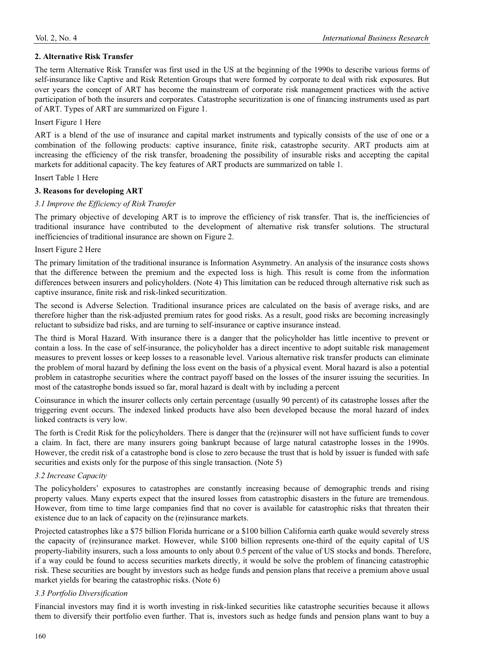# **2. Alternative Risk Transfer**

The term Alternative Risk Transfer was first used in the US at the beginning of the 1990s to describe various forms of self-insurance like Captive and Risk Retention Groups that were formed by corporate to deal with risk exposures. But over years the concept of ART has become the mainstream of corporate risk management practices with the active participation of both the insurers and corporates. Catastrophe securitization is one of financing instruments used as part of ART. Types of ART are summarized on Figure 1.

#### Insert Figure 1 Here

ART is a blend of the use of insurance and capital market instruments and typically consists of the use of one or a combination of the following products: captive insurance, finite risk, catastrophe security. ART products aim at increasing the efficiency of the risk transfer, broadening the possibility of insurable risks and accepting the capital markets for additional capacity. The key features of ART products are summarized on table 1.

#### Insert Table 1 Here

#### **3. Reasons for developing ART**

# *3.1 Improve the Efficiency of Risk Transfer*

The primary objective of developing ART is to improve the efficiency of risk transfer. That is, the inefficiencies of traditional insurance have contributed to the development of alternative risk transfer solutions. The structural inefficiencies of traditional insurance are shown on Figure 2.

#### Insert Figure 2 Here

The primary limitation of the traditional insurance is Information Asymmetry. An analysis of the insurance costs shows that the difference between the premium and the expected loss is high. This result is come from the information differences between insurers and policyholders. (Note 4) This limitation can be reduced through alternative risk such as captive insurance, finite risk and risk-linked securitization.

The second is Adverse Selection. Traditional insurance prices are calculated on the basis of average risks, and are therefore higher than the risk-adjusted premium rates for good risks. As a result, good risks are becoming increasingly reluctant to subsidize bad risks, and are turning to self-insurance or captive insurance instead.

The third is Moral Hazard. With insurance there is a danger that the policyholder has little incentive to prevent or contain a loss. In the case of self-insurance, the policyholder has a direct incentive to adopt suitable risk management measures to prevent losses or keep losses to a reasonable level. Various alternative risk transfer products can eliminate the problem of moral hazard by defining the loss event on the basis of a physical event. Moral hazard is also a potential problem in catastrophe securities where the contract payoff based on the losses of the insurer issuing the securities. In most of the catastrophe bonds issued so far, moral hazard is dealt with by including a percent

Coinsurance in which the insurer collects only certain percentage (usually 90 percent) of its catastrophe losses after the triggering event occurs. The indexed linked products have also been developed because the moral hazard of index linked contracts is very low.

The forth is Credit Risk for the policyholders. There is danger that the (re)insurer will not have sufficient funds to cover a claim. In fact, there are many insurers going bankrupt because of large natural catastrophe losses in the 1990s. However, the credit risk of a catastrophe bond is close to zero because the trust that is hold by issuer is funded with safe securities and exists only for the purpose of this single transaction. (Note 5)

#### *3.2 Increase Capacity*

The policyholders' exposures to catastrophes are constantly increasing because of demographic trends and rising property values. Many experts expect that the insured losses from catastrophic disasters in the future are tremendous. However, from time to time large companies find that no cover is available for catastrophic risks that threaten their existence due to an lack of capacity on the (re)insurance markets.

Projected catastrophes like a \$75 billion Florida hurricane or a \$100 billion California earth quake would severely stress the capacity of (re)insurance market. However, while \$100 billion represents one-third of the equity capital of US property-liability insurers, such a loss amounts to only about 0.5 percent of the value of US stocks and bonds. Therefore, if a way could be found to access securities markets directly, it would be solve the problem of financing catastrophic risk. These securities are bought by investors such as hedge funds and pension plans that receive a premium above usual market yields for bearing the catastrophic risks. (Note 6)

# *3.3 Portfolio Diversification*

Financial investors may find it is worth investing in risk-linked securities like catastrophe securities because it allows them to diversify their portfolio even further. That is, investors such as hedge funds and pension plans want to buy a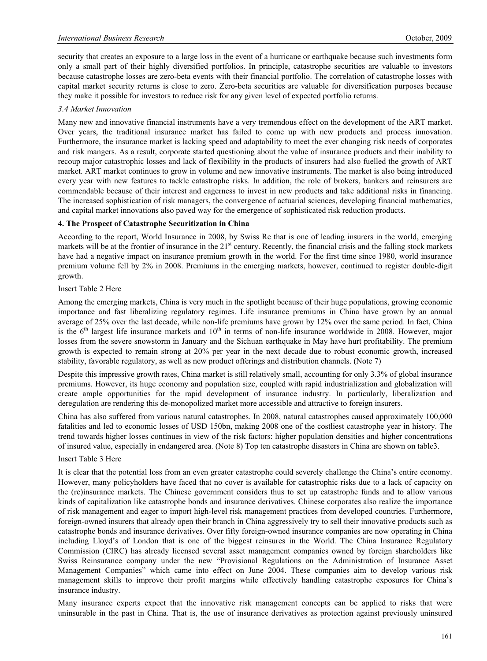security that creates an exposure to a large loss in the event of a hurricane or earthquake because such investments form only a small part of their highly diversified portfolios. In principle, catastrophe securities are valuable to investors because catastrophe losses are zero-beta events with their financial portfolio. The correlation of catastrophe losses with capital market security returns is close to zero. Zero-beta securities are valuable for diversification purposes because they make it possible for investors to reduce risk for any given level of expected portfolio returns.

# *3.4 Market Innovation*

Many new and innovative financial instruments have a very tremendous effect on the development of the ART market. Over years, the traditional insurance market has failed to come up with new products and process innovation. Furthermore, the insurance market is lacking speed and adaptability to meet the ever changing risk needs of corporates and risk mangers. As a result, corporate started questioning about the value of insurance products and their inability to recoup major catastrophic losses and lack of flexibility in the products of insurers had also fuelled the growth of ART market. ART market continues to grow in volume and new innovative instruments. The market is also being introduced every year with new features to tackle catastrophe risks. In addition, the role of brokers, bankers and reinsurers are commendable because of their interest and eagerness to invest in new products and take additional risks in financing. The increased sophistication of risk managers, the convergence of actuarial sciences, developing financial mathematics, and capital market innovations also paved way for the emergence of sophisticated risk reduction products.

# **4. The Prospect of Catastrophe Securitization in China**

According to the report, World Insurance in 2008, by Swiss Re that is one of leading insurers in the world, emerging markets will be at the frontier of insurance in the  $21<sup>st</sup>$  century. Recently, the financial crisis and the falling stock markets have had a negative impact on insurance premium growth in the world. For the first time since 1980, world insurance premium volume fell by 2% in 2008. Premiums in the emerging markets, however, continued to register double-digit growth.

#### Insert Table 2 Here

Among the emerging markets, China is very much in the spotlight because of their huge populations, growing economic importance and fast liberalizing regulatory regimes. Life insurance premiums in China have grown by an annual average of 25% over the last decade, while non-life premiums have grown by 12% over the same period. In fact, China is the  $6<sup>th</sup>$  largest life insurance markets and  $10<sup>th</sup>$  in terms of non-life insurance worldwide in 2008. However, major losses from the severe snowstorm in January and the Sichuan earthquake in May have hurt profitability. The premium growth is expected to remain strong at 20% per year in the next decade due to robust economic growth, increased stability, favorable regulatory, as well as new product offerings and distribution channels. (Note 7)

Despite this impressive growth rates, China market is still relatively small, accounting for only 3.3% of global insurance premiums. However, its huge economy and population size, coupled with rapid industrialization and globalization will create ample opportunities for the rapid development of insurance industry. In particularly, liberalization and deregulation are rendering this de-monopolized market more accessible and attractive to foreign insurers.

China has also suffered from various natural catastrophes. In 2008, natural catastrophes caused approximately 100,000 fatalities and led to economic losses of USD 150bn, making 2008 one of the costliest catastrophe year in history. The trend towards higher losses continues in view of the risk factors: higher population densities and higher concentrations of insured value, especially in endangered area. (Note 8) Top ten catastrophe disasters in China are shown on table3.

#### Insert Table 3 Here

It is clear that the potential loss from an even greater catastrophe could severely challenge the China's entire economy. However, many policyholders have faced that no cover is available for catastrophic risks due to a lack of capacity on the (re)insurance markets. The Chinese government considers thus to set up catastrophe funds and to allow various kinds of capitalization like catastrophe bonds and insurance derivatives. Chinese corporates also realize the importance of risk management and eager to import high-level risk management practices from developed countries. Furthermore, foreign-owned insurers that already open their branch in China aggressively try to sell their innovative products such as catastrophe bonds and insurance derivatives. Over fifty foreign-owned insurance companies are now operating in China including Lloyd's of London that is one of the biggest reinsures in the World. The China Insurance Regulatory Commission (CIRC) has already licensed several asset management companies owned by foreign shareholders like Swiss Reinsurance company under the new "Provisional Regulations on the Administration of Insurance Asset Management Companies" which came into effect on June 2004. These companies aim to develop various risk management skills to improve their profit margins while effectively handling catastrophe exposures for China's insurance industry.

Many insurance experts expect that the innovative risk management concepts can be applied to risks that were uninsurable in the past in China. That is, the use of insurance derivatives as protection against previously uninsured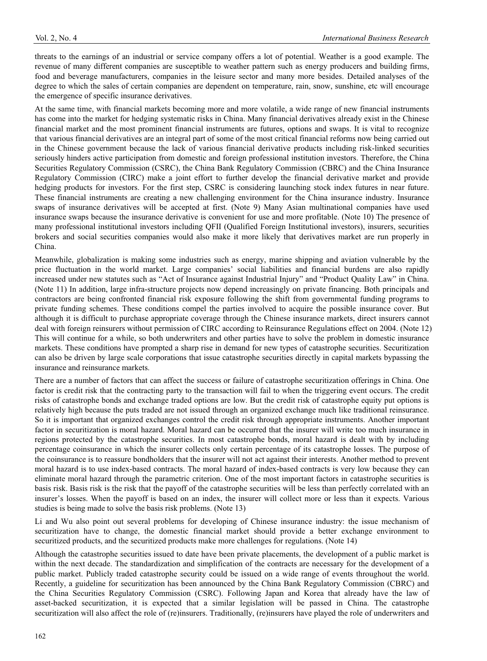threats to the earnings of an industrial or service company offers a lot of potential. Weather is a good example. The revenue of many different companies are susceptible to weather pattern such as energy producers and building firms, food and beverage manufacturers, companies in the leisure sector and many more besides. Detailed analyses of the degree to which the sales of certain companies are dependent on temperature, rain, snow, sunshine, etc will encourage the emergence of specific insurance derivatives.

At the same time, with financial markets becoming more and more volatile, a wide range of new financial instruments has come into the market for hedging systematic risks in China. Many financial derivatives already exist in the Chinese financial market and the most prominent financial instruments are futures, options and swaps. It is vital to recognize that various financial derivatives are an integral part of some of the most critical financial reforms now being carried out in the Chinese government because the lack of various financial derivative products including risk-linked securities seriously hinders active participation from domestic and foreign professional institution investors. Therefore, the China Securities Regulatory Commission (CSRC), the China Bank Regulatory Commission (CBRC) and the China Insurance Regulatory Commission (CIRC) make a joint effort to further develop the financial derivative market and provide hedging products for investors. For the first step, CSRC is considering launching stock index futures in near future. These financial instruments are creating a new challenging environment for the China insurance industry. Insurance swaps of insurance derivatives will be accepted at first. (Note 9) Many Asian multinational companies have used insurance swaps because the insurance derivative is convenient for use and more profitable. (Note 10) The presence of many professional institutional investors including QFII (Qualified Foreign Institutional investors), insurers, securities brokers and social securities companies would also make it more likely that derivatives market are run properly in China.

Meanwhile, globalization is making some industries such as energy, marine shipping and aviation vulnerable by the price fluctuation in the world market. Large companies' social liabilities and financial burdens are also rapidly increased under new statutes such as "Act of Insurance against Industrial Injury" and "Product Quality Law" in China. (Note 11) In addition, large infra-structure projects now depend increasingly on private financing. Both principals and contractors are being confronted financial risk exposure following the shift from governmental funding programs to private funding schemes. These conditions compel the parties involved to acquire the possible insurance cover. But although it is difficult to purchase appropriate coverage through the Chinese insurance markets, direct insurers cannot deal with foreign reinsurers without permission of CIRC according to Reinsurance Regulations effect on 2004. (Note 12) This will continue for a while, so both underwriters and other parties have to solve the problem in domestic insurance markets. These conditions have prompted a sharp rise in demand for new types of catastrophe securities. Securitization can also be driven by large scale corporations that issue catastrophe securities directly in capital markets bypassing the insurance and reinsurance markets.

There are a number of factors that can affect the success or failure of catastrophe securitization offerings in China. One factor is credit risk that the contracting party to the transaction will fail to when the triggering event occurs. The credit risks of catastrophe bonds and exchange traded options are low. But the credit risk of catastrophe equity put options is relatively high because the puts traded are not issued through an organized exchange much like traditional reinsurance. So it is important that organized exchanges control the credit risk through appropriate instruments. Another important factor in securitization is moral hazard. Moral hazard can be occurred that the insurer will write too much insurance in regions protected by the catastrophe securities. In most catastrophe bonds, moral hazard is dealt with by including percentage coinsurance in which the insurer collects only certain percentage of its catastrophe losses. The purpose of the coinsurance is to reassure bondholders that the insurer will not act against their interests. Another method to prevent moral hazard is to use index-based contracts. The moral hazard of index-based contracts is very low because they can eliminate moral hazard through the parametric criterion. One of the most important factors in catastrophe securities is basis risk. Basis risk is the risk that the payoff of the catastrophe securities will be less than perfectly correlated with an insurer's losses. When the payoff is based on an index, the insurer will collect more or less than it expects. Various studies is being made to solve the basis risk problems. (Note 13)

Li and Wu also point out several problems for developing of Chinese insurance industry: the issue mechanism of securitization have to change, the domestic financial market should provide a better exchange environment to securitized products, and the securitized products make more challenges for regulations. (Note 14)

Although the catastrophe securities issued to date have been private placements, the development of a public market is within the next decade. The standardization and simplification of the contracts are necessary for the development of a public market. Publicly traded catastrophe security could be issued on a wide range of events throughout the world. Recently, a guideline for securitization has been announced by the China Bank Regulatory Commission (CBRC) and the China Securities Regulatory Commission (CSRC). Following Japan and Korea that already have the law of asset-backed securitization, it is expected that a similar legislation will be passed in China. The catastrophe securitization will also affect the role of (re)insurers. Traditionally, (re)insurers have played the role of underwriters and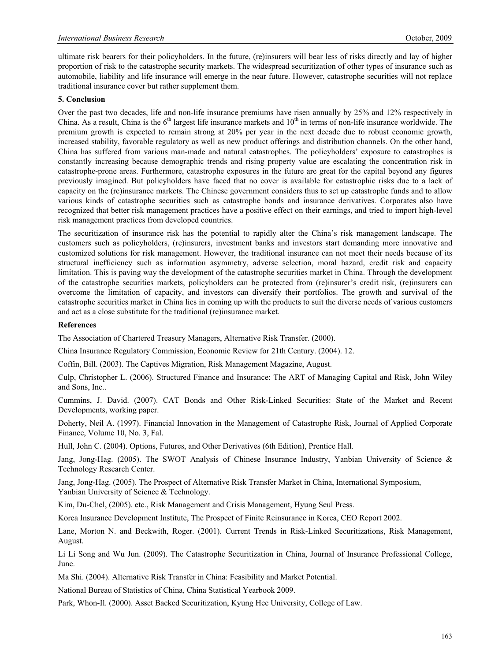ultimate risk bearers for their policyholders. In the future, (re)insurers will bear less of risks directly and lay of higher proportion of risk to the catastrophe security markets. The widespread securitization of other types of insurance such as automobile, liability and life insurance will emerge in the near future. However, catastrophe securities will not replace traditional insurance cover but rather supplement them.

#### **5. Conclusion**

Over the past two decades, life and non-life insurance premiums have risen annually by 25% and 12% respectively in China. As a result, China is the  $6<sup>th</sup>$  largest life insurance markets and  $10<sup>th</sup>$  in terms of non-life insurance worldwide. The premium growth is expected to remain strong at 20% per year in the next decade due to robust economic growth, increased stability, favorable regulatory as well as new product offerings and distribution channels. On the other hand, China has suffered from various man-made and natural catastrophes. The policyholders' exposure to catastrophes is constantly increasing because demographic trends and rising property value are escalating the concentration risk in catastrophe-prone areas. Furthermore, catastrophe exposures in the future are great for the capital beyond any figures previously imagined. But policyholders have faced that no cover is available for catastrophic risks due to a lack of capacity on the (re)insurance markets. The Chinese government considers thus to set up catastrophe funds and to allow various kinds of catastrophe securities such as catastrophe bonds and insurance derivatives. Corporates also have recognized that better risk management practices have a positive effect on their earnings, and tried to import high-level risk management practices from developed countries.

The securitization of insurance risk has the potential to rapidly alter the China's risk management landscape. The customers such as policyholders, (re)insurers, investment banks and investors start demanding more innovative and customized solutions for risk management. However, the traditional insurance can not meet their needs because of its structural inefficiency such as information asymmetry, adverse selection, moral hazard, credit risk and capacity limitation. This is paving way the development of the catastrophe securities market in China. Through the development of the catastrophe securities markets, policyholders can be protected from (re)insurer's credit risk, (re)insurers can overcome the limitation of capacity, and investors can diversify their portfolios. The growth and survival of the catastrophe securities market in China lies in coming up with the products to suit the diverse needs of various customers and act as a close substitute for the traditional (re)insurance market.

# **References**

The Association of Chartered Treasury Managers, Alternative Risk Transfer. (2000).

China Insurance Regulatory Commission, Economic Review for 21th Century. (2004). 12.

Coffin, Bill. (2003). The Captives Migration, Risk Management Magazine, August.

Culp, Christopher L. (2006). Structured Finance and Insurance: The ART of Managing Capital and Risk, John Wiley and Sons, Inc..

Cummins, J. David. (2007). CAT Bonds and Other Risk-Linked Securities: State of the Market and Recent Developments, working paper.

Doherty, Neil A. (1997). Financial Innovation in the Management of Catastrophe Risk, Journal of Applied Corporate Finance, Volume 10, No. 3, Fal.

Hull, John C. (2004). Options, Futures, and Other Derivatives (6th Edition), Prentice Hall.

Jang, Jong-Hag. (2005). The SWOT Analysis of Chinese Insurance Industry, Yanbian University of Science & Technology Research Center.

Jang, Jong-Hag. (2005). The Prospect of Alternative Risk Transfer Market in China, International Symposium, Yanbian University of Science & Technology.

Kim, Du-Chel, (2005). etc., Risk Management and Crisis Management, Hyung Seul Press.

Korea Insurance Development Institute, The Prospect of Finite Reinsurance in Korea, CEO Report 2002.

Lane, Morton N. and Beckwith, Roger. (2001). Current Trends in Risk-Linked Securitizations, Risk Management, August.

Li Li Song and Wu Jun. (2009). The Catastrophe Securitization in China, Journal of Insurance Professional College, June.

Ma Shi. (2004). Alternative Risk Transfer in China: Feasibility and Market Potential.

National Bureau of Statistics of China, China Statistical Yearbook 2009.

Park, Whon-Il. (2000). Asset Backed Securitization, Kyung Hee University, College of Law.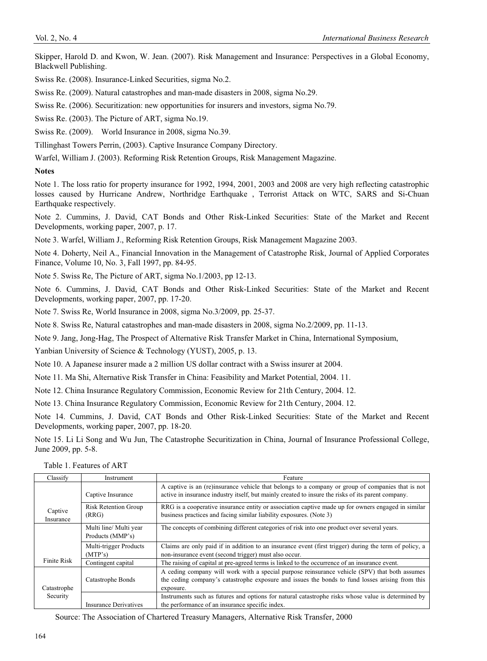Skipper, Harold D. and Kwon, W. Jean. (2007). Risk Management and Insurance: Perspectives in a Global Economy, Blackwell Publishing.

Swiss Re. (2008). Insurance-Linked Securities, sigma No.2.

Swiss Re. (2009). Natural catastrophes and man-made disasters in 2008, sigma No.29.

Swiss Re. (2006). Securitization: new opportunities for insurers and investors, sigma No.79.

Swiss Re. (2003). The Picture of ART, sigma No.19.

Swiss Re. (2009). World Insurance in 2008, sigma No.39.

Tillinghast Towers Perrin, (2003). Captive Insurance Company Directory.

Warfel, William J. (2003). Reforming Risk Retention Groups, Risk Management Magazine.

# **Notes**

Note 1. The loss ratio for property insurance for 1992, 1994, 2001, 2003 and 2008 are very high reflecting catastrophic losses caused by Hurricane Andrew, Northridge Earthquake , Terrorist Attack on WTC, SARS and Si-Chuan Earthquake respectively.

Note 2. Cummins, J. David, CAT Bonds and Other Risk-Linked Securities: State of the Market and Recent Developments, working paper, 2007, p. 17.

Note 3. Warfel, William J., Reforming Risk Retention Groups, Risk Management Magazine 2003.

Note 4. Doherty, Neil A., Financial Innovation in the Management of Catastrophe Risk, Journal of Applied Corporates Finance, Volume 10, No. 3, Fall 1997, pp. 84-95.

Note 5. Swiss Re, The Picture of ART, sigma No.1/2003, pp 12-13.

Note 6. Cummins, J. David, CAT Bonds and Other Risk-Linked Securities: State of the Market and Recent Developments, working paper, 2007, pp. 17-20.

Note 7. Swiss Re, World Insurance in 2008, sigma No.3/2009, pp. 25-37.

Note 8. Swiss Re, Natural catastrophes and man-made disasters in 2008, sigma No.2/2009, pp. 11-13.

Note 9. Jang, Jong-Hag, The Prospect of Alternative Risk Transfer Market in China, International Symposium,

Yanbian University of Science & Technology (YUST), 2005, p. 13.

Note 10. A Japanese insurer made a 2 million US dollar contract with a Swiss insurer at 2004.

Note 11. Ma Shi, Alternative Risk Transfer in China: Feasibility and Market Potential, 2004. 11.

Note 12. China Insurance Regulatory Commission, Economic Review for 21th Century, 2004. 12.

Note 13. China Insurance Regulatory Commission, Economic Review for 21th Century, 2004. 12.

Note 14. Cummins, J. David, CAT Bonds and Other Risk-Linked Securities: State of the Market and Recent Developments, working paper, 2007, pp. 18-20.

Note 15. Li Li Song and Wu Jun, The Catastrophe Securitization in China, Journal of Insurance Professional College, June 2009, pp. 5-8.

Table 1. Features of ART

| Classify             | Instrument                                 | Feature                                                                                                                                                                                                       |
|----------------------|--------------------------------------------|---------------------------------------------------------------------------------------------------------------------------------------------------------------------------------------------------------------|
|                      | Captive Insurance                          | A captive is an (re)insurance vehicle that belongs to a company or group of companies that is not<br>active in insurance industry itself, but mainly created to insure the risks of its parent company.       |
|                      | <b>Risk Retention Group</b>                | RRG is a cooperative insurance entity or association captive made up for owners engaged in similar                                                                                                            |
| Captive<br>Insurance | (RRG)                                      | business practices and facing similar liability exposures. (Note 3)                                                                                                                                           |
|                      | Multi line/ Multi year<br>Products (MMP's) | The concepts of combining different categories of risk into one product over several years.                                                                                                                   |
|                      | Multi-trigger Products<br>(MTP's)          | Claims are only paid if in addition to an insurance event (first trigger) during the term of policy, a<br>non-insurance event (second trigger) must also occur.                                               |
| Finite Risk          | Contingent capital                         | The raising of capital at pre-agreed terms is linked to the occurrence of an insurance event.                                                                                                                 |
| Catastrophe          | Catastrophe Bonds                          | A ceding company will work with a special purpose reinsurance vehicle (SPV) that both assumes<br>the ceding company's catastrophe exposure and issues the bonds to fund losses arising from this<br>exposure. |
| Security             |                                            | Instruments such as futures and options for natural catastrophe risks whose value is determined by                                                                                                            |
|                      | <b>Insurance Derivatives</b>               | the performance of an insurance specific index.                                                                                                                                                               |

Source: The Association of Chartered Treasury Managers, Alternative Risk Transfer, 2000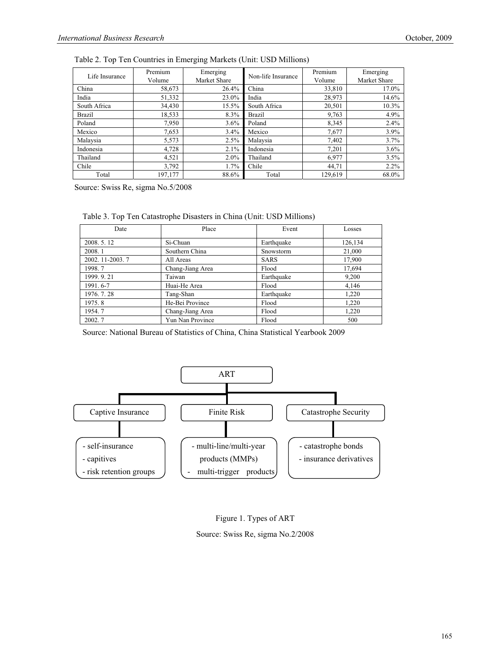| Life Insurance | Premium<br>Volume | Emerging<br>Market Share | Non-life Insurance | Premium<br>Volume | Emerging<br>Market Share |
|----------------|-------------------|--------------------------|--------------------|-------------------|--------------------------|
| China          | 58,673            | 26.4%                    | China              | 33,810            | 17.0%                    |
| India          | 51,332            | 23.0%                    | India              | 28,973            | 14.6%                    |
| South Africa   | 34,430            | 15.5%                    | South Africa       | 20,501            | 10.3%                    |
| <b>Brazil</b>  | 18,533            | 8.3%                     | <b>Brazil</b>      | 9,763             | 4.9%                     |
| Poland         | 7.950             | $3.6\%$                  | Poland             | 8.345             | 2.4%                     |
| Mexico         | 7,653             | $3.4\%$                  | Mexico             | 7,677             | 3.9%                     |
| Malaysia       | 5,573             | 2.5%                     | Malaysia           | 7,402             | 3.7%                     |
| Indonesia      | 4,728             | 2.1%                     | Indonesia          | 7.201             | 3.6%                     |
| Thailand       | 4,521             | $2.0\%$                  | Thailand           | 6.977             | 3.5%                     |
| Chile          | 3,792             | $1.7\%$                  | Chile              | 44.71             | $2.2\%$                  |
| Total          | 197,177           | 88.6%                    | Total              | 129,619           | 68.0%                    |

Table 2. Top Ten Countries in Emerging Markets (Unit: USD Millions)

Source: Swiss Re, sigma No.5/2008

|  |  | Table 3. Top Ten Catastrophe Disasters in China (Unit: USD Millions) |  |  |  |
|--|--|----------------------------------------------------------------------|--|--|--|
|--|--|----------------------------------------------------------------------|--|--|--|

| Date             | Place            | Event       | Losses  |
|------------------|------------------|-------------|---------|
| 2008.5.12        | Si-Chuan         | Earthquake  | 126,134 |
| 2008.1           | Southern China   | Snowstorm   | 21,000  |
| 2002. 11-2003. 7 | All Areas        | <b>SARS</b> | 17,900  |
| 1998.7           | Chang-Jiang Area | Flood       | 17,694  |
| 1999. 9. 21      | Taiwan           | Earthquake  | 9,200   |
| 1991.6-7         | Huai-He Area     | Flood       | 4,146   |
| 1976. 7. 28      | Tang-Shan        | Earthquake  | 1,220   |
| 1975.8           | He-Bei Province  | Flood       | 1,220   |
| 1954.7           | Chang-Jiang Area | Flood       | 1,220   |
| 2002.7           | Yun Nan Province | Flood       | 500     |

Source: National Bureau of Statistics of China, China Statistical Yearbook 2009





Source: Swiss Re, sigma No.2/2008